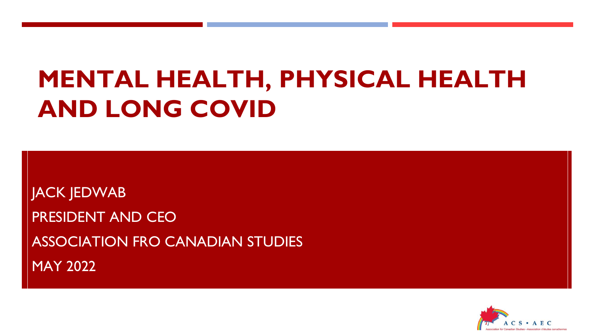# **MENTAL HEALTH, PHYSICAL HEALTH AND LONG COVID**

JACK JEDWAB PRESIDENT AND CEO ASSOCIATION FRO CANADIAN STUDIES MAY 2022

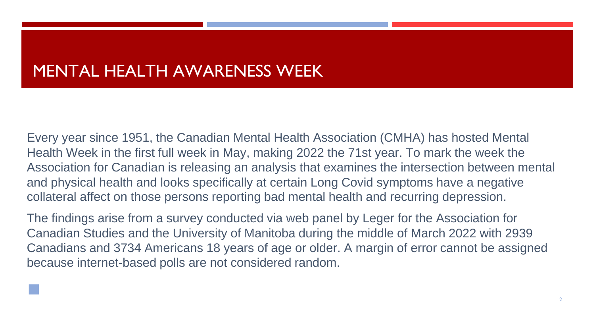#### MENTAL HEALTH AWARENESS WEEK

◼

Every year since 1951, the Canadian Mental Health Association (CMHA) has hosted Mental Health Week in the first full week in May, making 2022 the 71st year. To mark the week the Association for Canadian is releasing an analysis that examines the intersection between mental and physical health and looks specifically at certain Long Covid symptoms have a negative collateral affect on those persons reporting bad mental health and recurring depression.

The findings arise from a survey conducted via web panel by Leger for the Association for Canadian Studies and the University of Manitoba during the middle of March 2022 with 2939 Canadians and 3734 Americans 18 years of age or older. A margin of error cannot be assigned because internet-based polls are not considered random.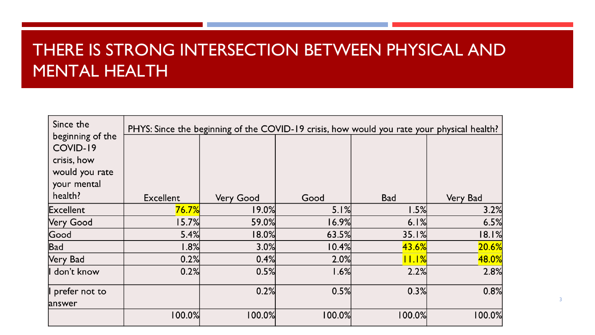### THERE IS STRONG INTERSECTION BETWEEN PHYSICAL AND MENTAL HEALTH

| Since the                    | PHYS: Since the beginning of the COVID-19 crisis, how would you rate your physical health? |                  |        |            |          |
|------------------------------|--------------------------------------------------------------------------------------------|------------------|--------|------------|----------|
| beginning of the<br>COVID-19 |                                                                                            |                  |        |            |          |
| crisis, how                  |                                                                                            |                  |        |            |          |
| would you rate               |                                                                                            |                  |        |            |          |
| your mental                  |                                                                                            |                  |        |            |          |
| health?                      | <b>Excellent</b>                                                                           | <b>Very Good</b> | Good   | <b>Bad</b> | Very Bad |
| Excellent                    | 76.7%                                                                                      | 19.0%            | 5.1%   | 1.5%       | 3.2%     |
| <b>Very Good</b>             | 15.7%                                                                                      | 59.0%            | 16.9%  | 6.1%       | 6.5%     |
| Good                         | 5.4%                                                                                       | 18.0%            | 63.5%  | 35.1%      | 18.1%    |
| Bad                          | 1.8%                                                                                       | 3.0%             | 10.4%  | 43.6%      | 20.6%    |
| Very Bad                     | 0.2%                                                                                       | 0.4%             | 2.0%   | 11.1%      | 48.0%    |
| don't know                   | 0.2%                                                                                       | 0.5%             | 1.6%   | 2.2%       | 2.8%     |
| prefer not to                |                                                                                            | 0.2%             | 0.5%   | 0.3%       | 0.8%     |
| answer                       |                                                                                            |                  |        |            |          |
|                              | 100.0%                                                                                     | 100.0%           | 100.0% | 100.0%     | 100.0%   |

3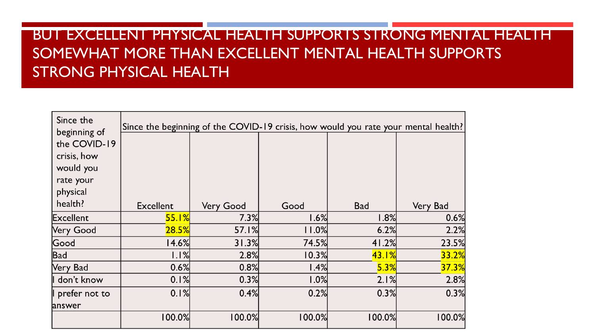#### BUT EXCELLENT PHYSICAL HEALTH SUPPORTS STRONG MENTAL HEALTH SOMEWHAT MORE THAN EXCELLENT MENTAL HEALTH SUPPORTS STRONG PHYSICAL HEALTH

| Since the<br>beginning of                                                    | Since the beginning of the COVID-19 crisis, how would you rate your mental health? |           |        |            |          |
|------------------------------------------------------------------------------|------------------------------------------------------------------------------------|-----------|--------|------------|----------|
| the COVID-19<br>crisis, how<br>would you<br>rate your<br>physical<br>health? | <b>Excellent</b>                                                                   | Very Good | Good   | <b>Bad</b> | Very Bad |
| <b>Excellent</b>                                                             | 55.1%                                                                              | 7.3%      | 1.6%   | 1.8%       | 0.6%     |
| <b>Very Good</b>                                                             | 28.5%                                                                              | 57.1%     | 11.0%  | 6.2%       | 2.2%     |
| Good                                                                         | 14.6%                                                                              | 31.3%     | 74.5%  | 41.2%      | 23.5%    |
| Bad                                                                          | 1.1%                                                                               | 2.8%      | 10.3%  | 43.1%      | 33.2%    |
| Very Bad                                                                     | 0.6%                                                                               | 0.8%      | 1.4%   | 5.3%       | 37.3%    |
| I don't know                                                                 | 0.1%                                                                               | 0.3%      | 1.0%   | 2.1%       | 2.8%     |
| I prefer not to                                                              | 0.1%                                                                               | 0.4%      | 0.2%   | 0.3%       | 0.3%     |
| answer                                                                       |                                                                                    |           |        |            |          |
|                                                                              | 100.0%                                                                             | 100.0%    | 100.0% | 100.0%     | 100.0%   |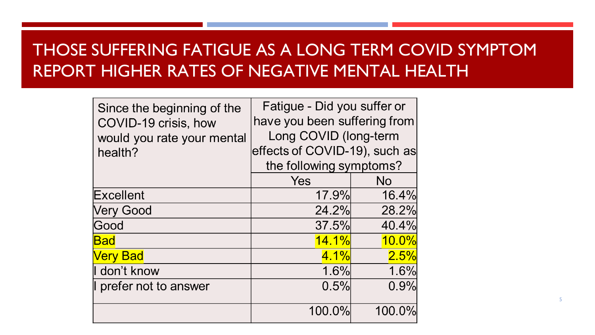## THOSE SUFFERING FATIGUE AS A LONG TERM COVID SYMPTOM REPORT HIGHER RATES OF NEGATIVE MENTAL HEALTH

| Since the beginning of the | Fatigue - Did you suffer or   |           |  |
|----------------------------|-------------------------------|-----------|--|
| COVID-19 crisis, how       | have you been suffering from  |           |  |
| would you rate your mental | Long COVID (long-term         |           |  |
| health?                    | effects of COVID-19), such as |           |  |
|                            | the following symptoms?       |           |  |
|                            | Yes                           | <b>No</b> |  |
| Excellent                  | 17.9%                         | 16.4%     |  |
| <b>Very Good</b>           | 24.2%                         | 28.2%     |  |
| Good                       | 37.5%                         | 40.4%     |  |
| <b>Bad</b>                 | <u>14.1%</u>                  | $10.0\%$  |  |
| <b>Very Bad</b>            | 4.1%                          | 2.5%      |  |
| I don't know               | 1.6%                          | 1.6%      |  |
| I prefer not to answer     | 0.5%                          | 0.9%      |  |
|                            | 100.0%                        | 100.0%    |  |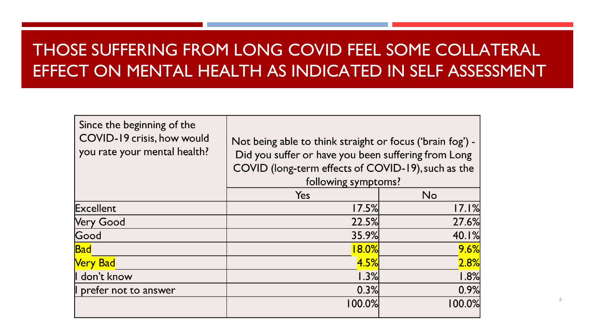## THOSE SUFFERING FROM LONG COVID FEEL SOME COLLATERAL EFFECT ON MENTAL HEALTH AS INDICATED IN SELF ASSESSMENT

| Since the beginning of the<br>COVID-19 crisis, how would<br>you rate your mental health? | Not being able to think straight or focus ('brain fog') -<br>Did you suffer or have you been suffering from Long<br>COVID (long-term effects of COVID-19), such as the<br>following symptoms? |        |  |
|------------------------------------------------------------------------------------------|-----------------------------------------------------------------------------------------------------------------------------------------------------------------------------------------------|--------|--|
|                                                                                          | Yes                                                                                                                                                                                           | No     |  |
| Excellent                                                                                | 17.5%                                                                                                                                                                                         | 17.1%  |  |
| <b>Very Good</b>                                                                         | 22.5%                                                                                                                                                                                         | 27.6%  |  |
| Good                                                                                     | 35.9%                                                                                                                                                                                         | 40.1%  |  |
| <b>Bad</b>                                                                               | 18.0%                                                                                                                                                                                         | 9.6%   |  |
| <b>Very Bad</b>                                                                          | 4.5%                                                                                                                                                                                          | 2.8%   |  |
| don't know                                                                               | 1.3%                                                                                                                                                                                          | 1.8%   |  |
| prefer not to answer                                                                     | 0.3%                                                                                                                                                                                          | 0.9%   |  |
|                                                                                          | $100.0\%$                                                                                                                                                                                     | 100.0% |  |

6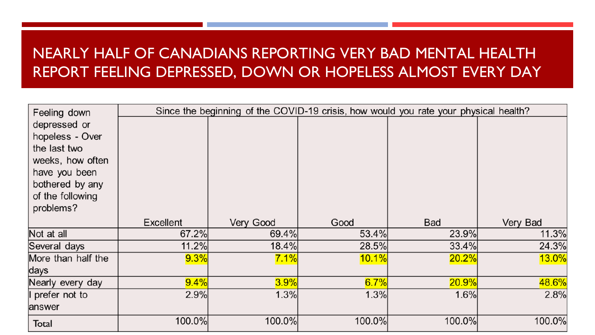#### NEARLY HALF OF CANADIANS REPORTING VERY BAD MENTAL HEALTH REPORT FEELING DEPRESSED, DOWN OR HOPELESS ALMOST EVERY DAY

| Feeling down                                                                                                                             |           | Since the beginning of the COVID-19 crisis, how would you rate your physical health? |        |            |          |
|------------------------------------------------------------------------------------------------------------------------------------------|-----------|--------------------------------------------------------------------------------------|--------|------------|----------|
| depressed or<br>hopeless - Over<br>the last two<br>weeks, how often<br>have you been<br>bothered by any<br>of the following<br>problems? |           |                                                                                      |        |            |          |
|                                                                                                                                          | Excellent | Very Good                                                                            | Good   | <b>Bad</b> | Very Bad |
| Not at all                                                                                                                               | 67.2%     | 69.4%                                                                                | 53.4%  | 23.9%      | 11.3%    |
| Several days                                                                                                                             | 11.2%     | 18.4%                                                                                | 28.5%  | 33.4%      | 24.3%    |
| More than half the                                                                                                                       | 9.3%      | 7.1%                                                                                 | 10.1%  | 20.2%      | 13.0%    |
| days                                                                                                                                     |           |                                                                                      |        |            |          |
| Nearly every day                                                                                                                         | 9.4%      | 3.9%                                                                                 | 6.7%   | 20.9%      | 48.6%    |
| prefer not to<br>answer                                                                                                                  | 2.9%      | 1.3%                                                                                 | 1.3%   | 1.6%       | 2.8%     |
| Total                                                                                                                                    | 100.0%    | 100.0%                                                                               | 100.0% | 100.0%     | 100.0%   |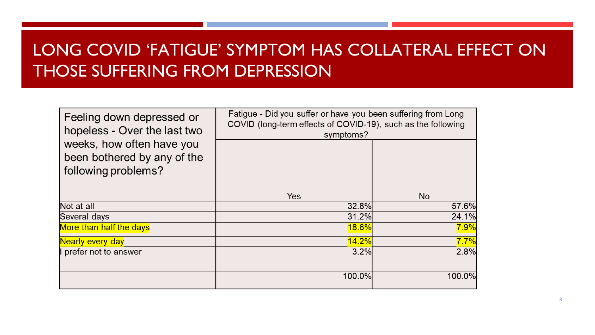## LONG COVID 'FATIGUE' SYMPTOM HAS COLLATERAL EFFECT ON THOSE SUFFERING FROM DEPRESSION

| Feeling down depressed or<br>hopeless - Over the last two                       | Fatigue - Did you suffer or have you been suffering from Long<br>COVID (long-term effects of COVID-19), such as the following<br>symptoms? |        |  |
|---------------------------------------------------------------------------------|--------------------------------------------------------------------------------------------------------------------------------------------|--------|--|
| weeks, how often have you<br>been bothered by any of the<br>following problems? |                                                                                                                                            |        |  |
|                                                                                 | <b>Yes</b>                                                                                                                                 | No.    |  |
| Not at all                                                                      | 32.8%                                                                                                                                      | 57.6%  |  |
| Several days                                                                    | 31.2%                                                                                                                                      | 24.1%  |  |
| More than half the days                                                         | 18.6%                                                                                                                                      | 7.9%   |  |
| Nearly every day                                                                | 14.2%                                                                                                                                      | 7.7%   |  |
| prefer not to answer                                                            | 3.2%                                                                                                                                       | 2.8%   |  |
|                                                                                 | 100.0%                                                                                                                                     | 100.0% |  |